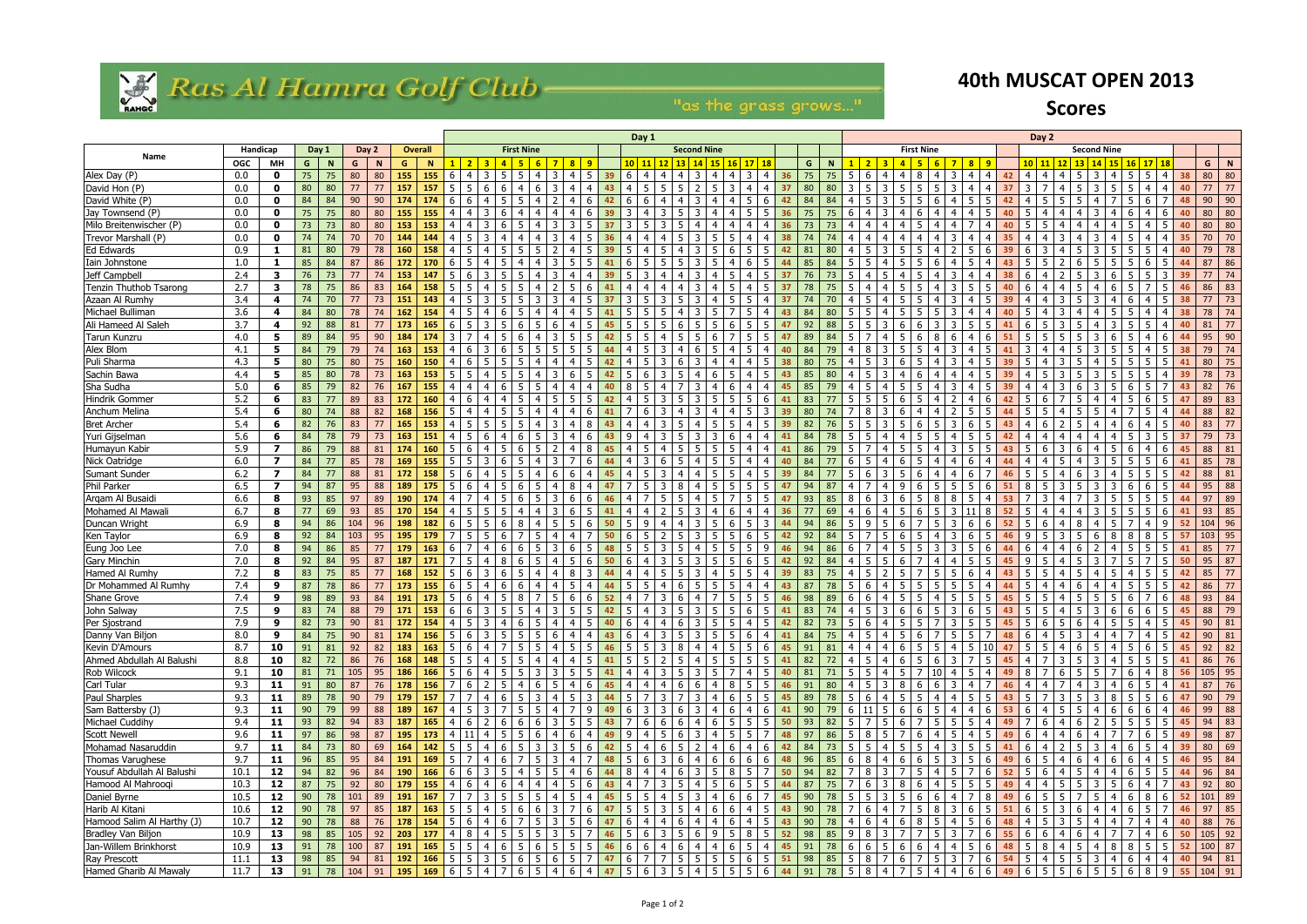

## Ras Al Hamra Golf Club-

"as the grass grows..."

|                                     |            |                         |                |          |          |          |                |            | Day 1                                                                                 |                |                               |                   |                                        |                       |                      |                |                        |                                           |                    | Day 2<br><b>First Nine</b><br><b>Second Nine</b> |                 |                        |                   |          |             |                                   |       |                 |                |                |                |          |                  |                |                                                |                |                |     |                        |          |          |                                                                                 |
|-------------------------------------|------------|-------------------------|----------------|----------|----------|----------|----------------|------------|---------------------------------------------------------------------------------------|----------------|-------------------------------|-------------------|----------------------------------------|-----------------------|----------------------|----------------|------------------------|-------------------------------------------|--------------------|--------------------------------------------------|-----------------|------------------------|-------------------|----------|-------------|-----------------------------------|-------|-----------------|----------------|----------------|----------------|----------|------------------|----------------|------------------------------------------------|----------------|----------------|-----|------------------------|----------|----------|---------------------------------------------------------------------------------|
| Name                                | Handicap   |                         | Day 2<br>Day 1 |          |          |          | <b>Overall</b> |            |                                                                                       |                | <b>First Nine</b>             |                   |                                        |                       |                      |                |                        |                                           | <b>Second Nine</b> |                                                  |                 |                        |                   |          |             |                                   |       |                 |                |                |                |          |                  |                |                                                |                |                |     |                        |          |          |                                                                                 |
|                                     | <b>OGC</b> | MН                      | G              | <b>N</b> | G        | N        | G              | <b>N</b>   |                                                                                       |                |                               |                   |                                        | 8 <sup>1</sup><br>- 9 |                      |                | 10   11   12           | 13 <sup>1</sup>                           |                    | $14$   15                                        | 16 <sup>1</sup> | 17118                  |                   | G        | N           |                                   | $2$ 3 | $\overline{a}$  | -6             |                | 8 <sup>8</sup> |          | 10 <sup>1</sup>  | <b>11</b>      |                                                |                |                |     | 14 15 16 17 18         |          | G        | N                                                                               |
| Alex Day (P)                        | 0.0        | $\mathbf 0$             | 75             | 75       | 80       | 80       | 155            | 155        |                                                                                       |                |                               |                   |                                        |                       | 39                   | 6              |                        |                                           |                    |                                                  |                 |                        | 36                | 75       |             |                                   |       |                 |                |                |                |          | 4                |                |                                                |                |                |     |                        |          |          | 80 80                                                                           |
| David Hon (P)                       | 0.0        | $\mathbf 0$             | 80             | 80       | 77       | 77       | 157            | 157        | -5                                                                                    | 6              |                               |                   |                                        |                       | 43                   | -4             |                        | -5<br>5                                   |                    |                                                  |                 | 4                      | 37                | 80       | 80          |                                   |       |                 | 5              |                |                |          | 3                |                | 4                                              | 3              | .5             | -5  |                        | 40       | 77       | 77                                                                              |
| David White (P)                     | 0.0        | $\mathbf 0$             | 84             | 84       | 90       | 90       | 174            | 174        |                                                                                       |                |                               |                   |                                        | . հ                   | 42                   |                |                        |                                           |                    |                                                  |                 | 5.                     | 42                | 84       | 84          |                                   |       |                 |                |                |                |          | 4                |                |                                                |                |                |     |                        | 48       | 90       | 90                                                                              |
| Jay Townsend (P)                    | 0.0        | $\mathbf 0$             | 75             | 75       | 80       | 80       | 155            | 155        |                                                                                       |                |                               |                   |                                        |                       |                      |                |                        |                                           |                    |                                                  |                 |                        | 36                | 75       |             |                                   |       |                 |                |                |                |          |                  |                |                                                |                |                |     | 6                      |          | 80       | 80                                                                              |
| Milo Breitenwischer (P)             | 0.0        | $\mathbf 0$             | 73             | 73       | 80       | 80       | 153            | 153        |                                                                                       |                |                               |                   |                                        |                       |                      |                |                        |                                           |                    |                                                  |                 |                        | 36                | 73       |             |                                   |       |                 |                |                |                |          |                  |                |                                                |                |                |     |                        |          | 80       | 80                                                                              |
| Trevor Marshall (P)                 | 0.0        | $\mathbf 0$             | 74             | 74       | 70       | 70       | 144            | 144        |                                                                                       |                |                               |                   |                                        |                       |                      |                |                        |                                           |                    |                                                  |                 |                        |                   |          |             |                                   |       |                 |                |                |                |          |                  |                |                                                |                |                |     |                        |          | 70       | 70                                                                              |
| Ed Edwards                          | 0.9        | -1                      | 81             | 80       | 79       | 78       | 160            | 158        |                                                                                       |                |                               |                   |                                        |                       |                      | 5              |                        |                                           |                    |                                                  |                 | 5<br>-5                | 42                | 81       | 80          |                                   |       |                 |                |                |                |          |                  |                |                                                |                |                |     |                        |          | 79       | 78                                                                              |
| Iain Johnstone                      | 1.0        | -1                      | 85             | 84       | 87       | 86       | 172            | 170        |                                                                                       |                |                               |                   |                                        |                       |                      |                |                        |                                           |                    |                                                  |                 |                        |                   | 85       | 84          |                                   |       |                 |                |                |                |          |                  |                |                                                |                |                |     |                        |          | 87       | 86                                                                              |
| Jeff Campbell                       | 2.4        | 3                       | 76             | 73       | 77       | 74       | 153            | 147        | -5                                                                                    |                |                               |                   |                                        |                       |                      |                |                        |                                           |                    |                                                  |                 |                        | 37                | 76       | 73          |                                   |       |                 |                |                |                |          |                  |                |                                                |                |                |     |                        | 39       | 77       | 74                                                                              |
| Tenzin Thuthob Tsarong              | 2.7        | $\overline{\mathbf{3}}$ | 78             | 75       | 86       | 83       | 164            | 158        |                                                                                       |                |                               |                   |                                        |                       |                      |                |                        |                                           |                    |                                                  |                 |                        |                   |          |             |                                   |       |                 |                |                |                |          |                  |                |                                                |                |                |     |                        |          | 86       | 83                                                                              |
| Azaan Al Rumhy                      | 3.4        | 4                       | 74             | 70       | 77       | 73       | 151            | 143        |                                                                                       |                |                               |                   |                                        |                       |                      |                |                        |                                           |                    |                                                  |                 | 5                      | 37                | 74       |             |                                   |       |                 |                |                |                |          |                  |                |                                                |                |                |     |                        | 38       | 77       | 73                                                                              |
| Michael Bulliman                    | 3.6        | -4                      | 84             | 80       | 78       | 74       | 162            | 154        | 4                                                                                     |                |                               |                   |                                        |                       |                      |                |                        |                                           |                    |                                                  |                 |                        | 43                | 84       | 80          |                                   |       |                 |                |                |                |          |                  |                |                                                |                |                |     |                        | 38       | 78       | 74                                                                              |
| Ali Hameed Al Saleh                 | 3.7        | 4                       | 92             | 88       | 81       | 77       | 173            | 165        | -6                                                                                    |                |                               |                   |                                        |                       |                      |                |                        |                                           |                    |                                                  |                 |                        | 47                | 92       | 88          |                                   |       |                 |                |                |                |          |                  |                |                                                |                |                |     |                        |          | 81       | 77                                                                              |
| Tarun Kunzru                        | 4.0        | 5                       | 89             | 84       | 95       | 90       | 184            |            |                                                                                       |                |                               |                   |                                        |                       |                      |                |                        |                                           |                    |                                                  |                 |                        |                   | 89       |             |                                   |       |                 |                |                |                |          |                  |                |                                                |                |                |     |                        |          | 95       | 90                                                                              |
| Alex Blom                           | 4.1        | 5                       | 84             | 79       | 79       | 74       | 163            | 153        |                                                                                       |                |                               |                   |                                        |                       |                      |                |                        |                                           |                    |                                                  |                 | 5                      |                   | 84       |             |                                   |       |                 |                |                |                |          |                  |                |                                                |                |                |     |                        |          | 79       | 74                                                                              |
| Puli Sharma                         | 4.3        | 5                       | 80             | 75       | 80       | 75       | 160            | 150        |                                                                                       |                |                               |                   |                                        |                       |                      |                |                        | 6                                         |                    |                                                  |                 | 4<br>-5                | 38                | 80       |             |                                   |       |                 |                |                |                |          |                  |                |                                                |                |                | -5  | .5.                    |          | 80       | 75                                                                              |
| Sachin Bawa                         | 4.4        | 5                       | 85             | 80       | 78       | 73       | 163            | 153        |                                                                                       |                |                               |                   |                                        |                       |                      |                |                        |                                           |                    |                                                  |                 | 4                      | 43                | 85       | 80          |                                   |       |                 |                |                |                |          |                  |                |                                                |                |                |     |                        |          | 78       | 73                                                                              |
| Sha Sudha                           | 5.0        | 6                       | 85             | 79       | 82       | 76       | 167            | 155        |                                                                                       |                |                               |                   |                                        |                       |                      |                |                        |                                           |                    |                                                  |                 |                        | 45                | 85       | 79          |                                   |       |                 |                |                |                |          |                  |                |                                                |                |                |     |                        | 43       | 82       | 76                                                                              |
| Hindrik Gommer                      | 5.2        | 6                       | 83<br>80       | 77<br>74 | 89       | 83<br>82 | 172<br>168     | 160<br>156 |                                                                                       |                |                               |                   |                                        |                       |                      |                |                        |                                           |                    |                                                  |                 | 5.                     | 39                | 83       |             |                                   |       |                 |                |                |                |          | 5.               |                |                                                |                |                |     |                        |          | 89       | 83<br>82                                                                        |
| Anchum Melina<br><b>Bret Archer</b> | 5.4<br>5.4 | 6<br>6                  | 82             | 76       | 88<br>83 | 77       | 165            | 153        | 4                                                                                     | 5.             |                               |                   |                                        |                       |                      | 4              |                        |                                           |                    |                                                  |                 | -5<br>4                | 39                | 80<br>82 |             |                                   |       |                 |                |                |                |          | 4                |                |                                                |                |                |     |                        |          | 88<br>83 | 77                                                                              |
| Yuri Gijselman                      | 5.6        | 6                       | 84             | 78       | 79       | 73       | 163            | 151        | 4                                                                                     | 6              |                               |                   |                                        |                       |                      | q              |                        |                                           |                    |                                                  |                 | 4                      | 41                | 84       | 78          |                                   |       |                 |                |                |                |          |                  |                |                                                |                |                |     |                        |          | 79       | 73                                                                              |
| Humayun Kabir                       | 5.9        | 7                       | 86             | 79       | 88       | 81       | 174            | 160        |                                                                                       |                |                               |                   |                                        |                       |                      |                |                        |                                           |                    |                                                  |                 | 4                      |                   | 86       |             |                                   |       |                 |                |                |                |          | 5.               |                |                                                |                |                |     | 6                      |          | 88       | 81                                                                              |
| Nick Oatridge                       | 6.0        | 7                       | 84             | 77       | 85       | 78       | 169            | 155        |                                                                                       |                |                               |                   |                                        |                       |                      |                |                        |                                           |                    |                                                  |                 |                        |                   | 84       |             |                                   |       |                 |                |                |                |          |                  |                |                                                |                |                |     |                        |          | 85       | 78                                                                              |
| Sumant Sunder                       | $6.2$      | 7                       | 84             | 77       | 88       | 81       | 172            | 158        |                                                                                       |                |                               |                   |                                        | 6                     |                      |                |                        |                                           |                    |                                                  |                 |                        | 39                | 84       |             |                                   |       |                 |                |                |                |          |                  |                |                                                |                |                |     |                        |          | 88       | 81                                                                              |
| Phil Parker                         | 6.5        | 7                       | 94             | 87       | 95       | 88       | 189            | 175        |                                                                                       |                |                               |                   |                                        |                       |                      |                |                        |                                           |                    |                                                  |                 |                        | 47                | 94       | 87          |                                   |       |                 |                |                |                |          | 8                |                |                                                |                |                |     |                        |          | 95       | 88                                                                              |
| Argam Al Busaidi                    | 6.6        | 8                       | 93             | 85       | 97       | 89       | 190            | 174        |                                                                                       |                |                               |                   |                                        | 6<br>-6               |                      |                |                        |                                           |                    |                                                  |                 | 5                      | 47                | 93       | 85          | 8                                 |       |                 |                |                |                |          |                  |                |                                                |                |                |     |                        |          | 97       | 89                                                                              |
| Mohamed Al Mawali                   | 6.7        | 8                       | 77             | 69       | 93       | 85       | 170            | 154        |                                                                                       |                |                               |                   |                                        |                       |                      |                |                        |                                           |                    |                                                  |                 |                        | 36                | 77       | 69          |                                   |       |                 |                |                |                |          |                  |                |                                                |                |                |     |                        |          | 93       | 85                                                                              |
| Duncan Wright                       | 6.9        | 8                       | 94             | 86       | 104      | 96       | 198            | 182        | -6                                                                                    | 5.             |                               |                   |                                        | -6                    | 50                   |                |                        |                                           |                    |                                                  |                 | 5.                     |                   | 94       | 86          |                                   |       |                 |                |                |                |          | 5.               |                |                                                | 4              |                |     | q                      | -52      | 104      | 96                                                                              |
| Ken Taylor                          | 6.9        | 8                       | 92             | 84       | 103      | 95       | 195            |            |                                                                                       |                |                               |                   |                                        |                       |                      |                |                        |                                           |                    |                                                  |                 | 6                      | 42                | 92       |             |                                   |       |                 |                |                |                |          | q                |                |                                                |                |                |     |                        |          | 103 l    | 95                                                                              |
| Eung Joo Lee                        | 7.0        | 8                       | 94             | 86       | 85       | 77       | 179            | 163        |                                                                                       |                |                               |                   |                                        |                       |                      |                |                        |                                           |                    |                                                  |                 |                        |                   | 94       |             |                                   |       |                 |                |                |                |          |                  |                |                                                |                |                |     |                        |          | 85       | 77                                                                              |
| <b>Gary Minchin</b>                 | 7.0        | 8                       | 92             | 84       | 95       | 87       | 187            | 171        |                                                                                       |                |                               |                   |                                        |                       |                      |                |                        |                                           |                    |                                                  |                 |                        |                   | 92       |             |                                   |       |                 |                |                |                |          |                  |                |                                                |                |                |     |                        | 50       | 95       | 87                                                                              |
| Hamed Al Rumhy                      | 7.2        | 8                       | 83             | 75       | 85       | 77       | 168            | 152        |                                                                                       |                |                               |                   |                                        |                       |                      |                |                        |                                           |                    |                                                  |                 |                        |                   | 83       |             |                                   |       |                 |                |                |                |          |                  |                |                                                |                |                |     |                        |          | 85       | 77                                                                              |
| Dr Mohammed Al Rumhy                | 7.4        | 9                       | 87             | 78       | 86       | 77       | 173            | 155        | <b>6</b>                                                                              |                |                               |                   |                                        |                       |                      |                |                        | 6                                         |                    |                                                  |                 | 4                      | 43                | 87       | 78          |                                   |       |                 |                |                |                |          |                  |                |                                                |                |                |     | -5                     |          | 86       | 77                                                                              |
| Shane Grove                         | 7.4        | 9                       | 98             | 89       | 93       | 84       | 191            | 173        |                                                                                       |                |                               |                   |                                        | 6<br>-6               | 52                   |                |                        |                                           |                    |                                                  |                 | 5                      | 46                | 98       | 89          |                                   |       |                 |                |                |                |          | 5.               |                |                                                |                |                |     | 6                      |          | 93       | 84                                                                              |
| John Salway                         | 7.5        | 9                       | 83             | 74       | 88       | 79       | <b>171</b>     | 153        | 66                                                                                    | 3              | 5<br>- 5                      | 4                 | $\overline{3}$                         | 5<br>-5               | 42                   | 5              | 4 I                    | $\overline{\mathbf{3}}$<br>5              |                    | $3 \mid 5 \mid 5$                                |                 | 6<br>5                 | 41                | 83       | 74          | $5^{\circ}$<br>$\overline{4}$     | 3 I   | 6               | 6<br>5         | 3 <sup>1</sup> | $6 \mid 5$     | 43       | 5 <sup>5</sup>   | 5              | 4 I                                            | 3<br>- 5 I     | 6              | 6   | 65                     | 45       | 88       | 79                                                                              |
| Per Sjostrand                       | 7.9        | $\overline{9}$          | 82             | 73       |          |          |                |            |                                                                                       |                |                               |                   |                                        |                       |                      |                |                        |                                           |                    |                                                  |                 |                        |                   |          |             |                                   |       |                 |                |                |                |          |                  |                |                                                |                |                |     |                        |          |          |                                                                                 |
| Danny Van Biljon                    | 8.0        | 9                       | 84             | 75       | 90       |          |                |            | $81 \mid 174 \mid 156 \mid 5 \mid 6 \mid 3 \mid 5 \mid 5 \mid 5 \mid 6 \mid 4 \mid 4$ |                |                               |                   |                                        |                       |                      |                |                        |                                           |                    |                                                  |                 |                        |                   | 84       |             |                                   |       |                 |                |                |                |          |                  |                |                                                |                |                |     |                        |          |          | <b>75</b> 4 5 4 5 4 5 6 7 5 5 7 4 8 6 4 5 3 4 4 7 4 5 42 90 81                  |
| Kevin D'Amours                      | 8.7        | 10                      | 91             | 81       | 92       | 82       | 183            |            | $163 \mid 5 \mid 6 \mid 4 \mid$                                                       |                | $\overline{7}$                |                   | 5   5   4   5   5   46   5   5   3   8 |                       |                      |                |                        |                                           |                    |                                                  |                 | 4   4   5   5   6   45 |                   | 91       |             | $81 \mid 4 \mid 4$                | 4 I   | $6 \mid 5 \mid$ |                | 5   4   5   10 |                |          |                  |                | $47 \mid 5 \mid 5 \mid 4 \mid 6 \mid 5 \mid 4$ |                |                |     |                        | 5 6 5 45 |          | $92 \mid 82$                                                                    |
| Ahmed Abdullah Al Balushi           | 8.8        | 10                      | 82             | 72       | 86       | 76       | 168            |            | $148$ 5 5 4                                                                           |                | 5 5 4                         |                   | -4                                     | $4 \mid 5$            | $-41$                |                |                        | 5525                                      |                    | $4 \mid 5 \mid 5 \mid 5 \mid$                    |                 |                        | $5 \quad 41$      | 82       | 72          | $\overline{4}$<br>$\vert 5 \vert$ |       |                 | 4 6 5 6 3 7 5  |                |                | 45       | 4 <sup>1</sup>   | 7              | 3 5 3                                          |                | 4              |     | 5 5 5                  | 41       |          | $86 \mid 76$                                                                    |
| Rob Wilcock                         | 9.1        | 10                      | 81             | 71       | 105      | 95       | 186            | 166        | 5 <sup>1</sup><br>- 6                                                                 | $\overline{4}$ | -5<br>- 5                     | l 3 l             | $\overline{\mathbf{3}}$                | 5 <sub>1</sub><br>-5  | 41                   | <sup>4</sup>   | 4                      | 5<br>$\overline{3}$                       |                    | $3 \mid 5 \mid 7$                                |                 | $\overline{4}$<br>5    | 40                | 81       | 71          | 5<br>- 5                          |       | -5              | 7<br>10        | 4 I            | 5              | 49<br>-4 | 8                | -7             | 6<br>-5                                        | 5              |                | -6  | 8 <sup>1</sup>         | 56       |          | $105$ 95                                                                        |
| Carl Tular                          | 9.3        | 11                      | 91             | 80       | 87       | 76       | 178            | 156        | $\overline{7}$<br>6                                                                   | $\mathbf{2}$   | -5<br>-4                      |                   | 5                                      | 4<br>- 6              | 45                   | 4              |                        | 6<br>4                                    | -6                 | $4 \quad 8 \quad 5$                              |                 | 5                      | 46                | 91       | 80          | $\overline{4}$<br>-5              |       | 8               | 6<br>-6        | $+3+$          |                | 46       | 4                | -4             |                                                |                | 4              | -6  | 4 I<br>- 5 I           | 41       |          | $87 \mid 76$                                                                    |
| Paul Sharples                       | 9.3        | 11                      | 89             | 78       | 90       | 79       | 179            | 157        | $717$                                                                                 | $\overline{4}$ | -6                            | 53                | -4                                     | $5 \mid 3$            | 44                   |                | 5 7                    | 7<br> 3                                   |                    | $3 \mid 4 \mid 6 \mid 5 \mid$                    |                 | 5 <sup>5</sup>         | 45                | 89       | 78          | 5<br>- 6                          |       | $5 \mid 5$      | $\overline{4}$ |                | 4   5   5      |          | $43 \mid 5 \mid$ | - 7 I          | $3 \mid 5 \mid$                                | $3 \mid 8$     |                |     | $5 \mid 5 \mid 6 \mid$ | 47       |          | $90 \mid 79$                                                                    |
| Sam Battersby (J)                   | 9.3        | 11                      | 90             | 79       | 99       | 88       | 189            | 167        | 4 5                                                                                   | 3              |                               | 5 5               | -4                                     | 7 I<br>- 9            | 49                   | 6              | 331                    | 6                                         |                    | $3 \mid 4 \mid 6 \mid 4 \mid$                    |                 | 6                      | 41                | 90       | 79          | 6<br>$\vert$ 11                   | 51    | - 6 I           | 6<br>-5        | 4 I            | 46             | 53       | 6                | <sup>4</sup>   | $5 \mid 5 \mid$                                | 4 <sup>1</sup> | 6              | 6   |                        | 46       |          | $99$ 88                                                                         |
| Michael Cuddihy                     | 9.4        | 11                      | 93             | 82       | 94       | 83       | 187            | 165        | $4 \mid 6$                                                                            | $\overline{2}$ | -6<br>- 6                     | 6                 | 3                                      | 5<br>-5               | 43                   | $-7$           | 6                      | 6<br>6                                    |                    | 4   6   5                                        |                 | 5 <sup>5</sup><br>5    | 50                | 93       | 82          | -5                                | 5.    | 6               | -5<br>7        | -5             |                | 4<br>49  | 7                | -6             | 4 I<br>6                                       | 2 <sup>1</sup> | 5              | - 5 | 5551                   | 45       |          | $94 \mid 83$                                                                    |
| Scott Newell                        | 9.6        | 11                      | 97             | 86       | 98       | 87       | 195            |            | $173$ 4 11                                                                            | $4 \mid$       | 5<br>-5                       |                   | 4                                      | 6<br>-4               | 49                   | -9             | 4                      | $5\overline{5}$<br>6                      |                    | $3 \mid 4 \mid 5 \mid 5 \mid$                    |                 | $\overline{7}$         | 48                | 97       | 86          | 5<br>8                            | 5     |                 | 6<br>4         | -5             |                | 5<br>49  | 6                | -4             | 6<br>$-4$                                      | 4 <sup>1</sup> | 7              |     | $6 \mid 5 \mid$        | 49       |          | 98 87                                                                           |
| Mohamad Nasaruddin                  | 9.7        | 11                      | 84             | 73       | 80       | 69       | 164            |            | $142$ 5 5                                                                             | $-4$           | 6                             |                   | $5 \mid 3 \mid 3 \mid$                 |                       | $5 \t6 \t42$         |                | $5 \mid 4 \mid 6 \mid$ |                                           | 5 <sub>1</sub>     |                                                  |                 | 2   4   6   4   6   42 |                   | 84       | $73 \mid 5$ | $\vert 5 \vert$                   | 4 I   | $5 \quad 5$     | $\overline{4}$ |                | $3155$         |          | $41 \quad 6$     |                | $4$   2   5   3   4                            |                |                |     |                        | 6 5 4 39 |          | $80 \mid 69$                                                                    |
| Thomas Varughese                    | 9.7        | 11                      | 96             | 85       | 95       | 84       | 191            |            | $169$ 5 7                                                                             | 4              | $6 \mid 7 \mid 5 \mid 3 \mid$ |                   |                                        | 4 7                   | 48                   |                |                        | 5 6 3 6                                   |                    |                                                  |                 | 4 6 6 6 6 48           |                   | 96       | $85 \ 6$    | 8                                 | 4 I   | $6 \mid 6$      | - 5 I          | 3 <sup>1</sup> | $5 \mid 6$     |          |                  |                | $49 \mid 6 \mid 5 \mid 4 \mid 6 \mid 4 \mid 6$ |                |                | - 6 | $4 \mid 5 \mid$        | 46       |          | $95 \mid 84$                                                                    |
| Yousuf Abdullah Al Balushi          | 10.1       | 12                      | 94             | 82       | 96       | 84       | 190            |            | $166$ 6 6 3                                                                           |                | 5   4   5   5                 |                   |                                        | $4 \mid 6$            | 44                   | $\overline{8}$ | 44                     | 6                                         |                    | $3 \mid 5 \mid 8 \mid 5 \mid$                    |                 | $\overline{7}$         | 50                | 94       | 82          | 7<br>- 8                          | 3 I   |                 | 5              | 451            | $7 \mid 6$     |          | $52 \mid 5$      | - 6            | 4 I<br>5                                       | 4              | 4              | 6   | $5 \mid 5 \mid$        | 44       |          | $96 \mid 84$                                                                    |
| Hamood Al Mahrooqi                  | 10.3       | 12                      | 87             | 75       | 92       | 80       | 179            |            |                                                                                       | $\overline{4}$ | 6<br>-4 I                     | 4 I               | -4                                     | 5 <sub>1</sub><br>- 6 | 43                   | 4              |                        | 5 <sub>5</sub><br>$\overline{\mathbf{3}}$ |                    | 4   5   6   5                                    |                 | 5                      | 44                | 87       | 75          | -7<br>-6                          | 3 I   | 8               | 6<br>-4        | 5 <sub>1</sub> | 5   5          | 49       | $\overline{4}$   | -4             | l 5 l                                          | 3 I<br>- 5 I   | 5              | 6   | 7<br>4 I               | 43       |          | $92 \mid 80$                                                                    |
| Daniel Byrne                        | 10.5       | 12                      | 90             | 78       | 101      | 89       | 191            | 167        | 1717                                                                                  | 3              | -5                            | 55                | $-4$                                   | 5<br>$\overline{4}$   | 45                   | 5              | - 5 I                  | 5<br>4                                    |                    | $3 \mid 4 \mid 6 \mid 6 \mid$                    |                 | $\overline{7}$         | 45                | 90       | 78          | -5<br>- 5                         | 3 I   | 5               | 6<br>6         | $-4$           | 78             | 49       | 6                | 5 <sub>1</sub> | l 5 I                                          | -51<br>- 7 I   | $\overline{4}$ | 6   | $86$                   | 52       |          | $101$ 89                                                                        |
| Harib Al Kitani                     | 10.6       | 12                      | 90             | 78       | 97       | 85       | 187            |            | $163$ 5 5 4                                                                           |                | 5                             |                   | 6 6 3 7 6                              |                       | 47                   |                |                        | 5 5 3 5                                   |                    |                                                  |                 | 4   6   6   4   5   43 |                   | 90       | 78          | 7<br>- 6                          | 4 I   | $7 \mid 5$      | 8              |                | 365            |          | $51 \quad 6$     | 5              | 3 6                                            |                | $4 \mid 4$     |     | $657$                  | 46       |          | $97$ 85                                                                         |
| Hamood Salim Al Harthy (J)          | 10.7       | 12                      | 90             | 78       | 88       | 76       | 178            |            | $154$ 5 6                                                                             | $\overline{4}$ | 6                             |                   | 753                                    | $5 \mid 6$            | 47                   |                |                        | $6 \mid 4 \mid 4 \mid 6$                  |                    | 4   4   6                                        |                 | $4 \mid$               | $5 \quad 43$      | 90       | 78          | $\overline{4}$<br>- 6             | 4 I   | 6               | 8<br>-5        | 4 I            | $5 \mid 6$     | 48       | 4 <sup>1</sup>   | - 5            | 3   5   4                                      |                | $\overline{4}$ |     | $\overline{4}$<br>4 I  | 40       |          | 88 76                                                                           |
| Bradley Van Biljon                  | 10.9       | 13                      | 98             | 85       | 105      | 92       | 203            | 177        | 4 8                                                                                   | $\overline{4}$ | -5                            | $5 \mid 5 \mid$   | 3                                      | 5<br>-7               | 46                   | 5 <sub>1</sub> | $6 \mid 3$             | 5                                         |                    | 6   9   5                                        |                 | 8 <sup>1</sup><br>5    | 52                | 98       | 85          | 9<br>- 8                          | 3     |                 | -5<br>7        | 3 I            |                | 6<br>55  | 6                | -6             | 4 I<br>-6                                      | 4              |                |     | 4 6                    | 50       |          | $105$ 92                                                                        |
| Jan-Willem Brinkhorst               | 10.9       | 13                      | 91             | 78       | 100      | 87       | 191            |            | $165$ 5 5                                                                             | $\overline{4}$ | 6<br>  5                      |                   | $6 \mid 5$                             | $5 \mid 5 \mid$       | 46                   | 6              | 6                      | $6\overline{6}$<br>$\overline{4}$         |                    | 4   4   6   5                                    |                 | $\overline{4}$         | 45                | 91       | 78          | 6<br>6                            | 5     | 6               | 6<br>-4        | 4 I            | - 5 I          | 6<br>48  | 5 <sub>1</sub>   | 8              | $-4$<br>5                                      |                | $4 \mid 8$     |     |                        |          |          | 8 5 5 5 5 100 87                                                                |
| Ray Prescott                        | 11.1       | 13                      | 98             | 85       | 94       | 81       |                |            | $192 \mid 166 \mid 5 \mid 5 \mid 3 \mid 5 \mid 6 \mid 5 \mid 6 \mid$                  |                |                               |                   |                                        |                       | $5 \quad 7 \quad 47$ |                |                        | 6   7   7   5                             |                    |                                                  |                 | 5 5 5 6 551            |                   | 98       |             | 85 5 8 7                          |       |                 |                |                |                |          |                  |                |                                                |                |                |     |                        |          |          | $6$   7   5   3   7   6   54   5   4   5   5   3   4   6   4   4   40   94   81 |
| Hamed Gharib Al Mawaly              | 11.7       | 13                      | 91             | 78       | $104$ 91 |          |                |            | $195 \mid 169 \mid 6 \mid 5 \mid 4 \mid$                                              |                | $\overline{7}$                | $6 \mid 5 \mid 4$ |                                        | $6\overline{6}$       | $4 \overline{47}$    |                | $\sqrt{5}$ 6 3         | $5\overline{)}$                           |                    | 4   5   5   5                                    |                 |                        | $6 \overline{44}$ | 91       | 78          | $5\overline{)}$<br> 8             | 4     | $7 \mid 5$      |                | 4   4   6   6  |                |          | 49 6             | 5 <sup>5</sup> | 5 6 5 5                                        |                |                |     | $689$                  |          |          | 55   104   91                                                                   |

## **40th MUSCAT OPEN 2013 Scores**